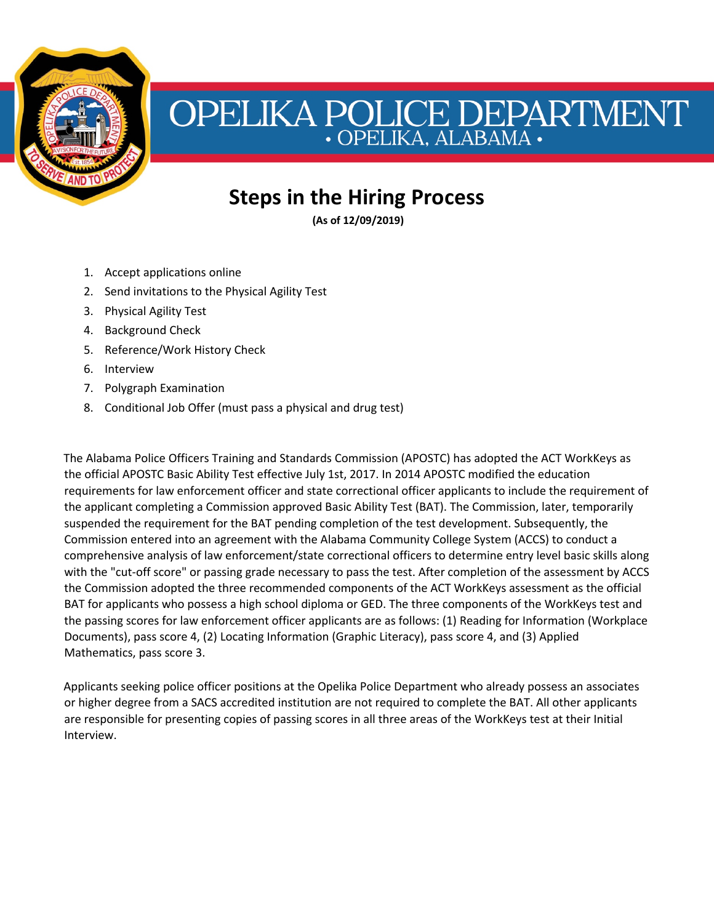

## OPELIKA POLICE DEPARTMENT

## **Steps in the Hiring Process**

**(As of 12/09/2019)**

- 1. Accept applications online
- 2. Send invitations to the Physical Agility Test
- 3. Physical Agility Test
- 4. Background Check
- 5. Reference/Work History Check
- 6. Interview
- 7. Polygraph Examination
- 8. Conditional Job Offer (must pass a physical and drug test)

The Alabama Police Officers Training and Standards Commission (APOSTC) has adopted the ACT WorkKeys as the official APOSTC Basic Ability Test effective July 1st, 2017. In 2014 APOSTC modified the education requirements for law enforcement officer and state correctional officer applicants to include the requirement of the applicant completing a Commission approved Basic Ability Test (BAT). The Commission, later, temporarily suspended the requirement for the BAT pending completion of the test development. Subsequently, the Commission entered into an agreement with the Alabama Community College System (ACCS) to conduct a comprehensive analysis of law enforcement/state correctional officers to determine entry level basic skills along with the "cut-off score" or passing grade necessary to pass the test. After completion of the assessment by ACCS the Commission adopted the three recommended components of the ACT WorkKeys assessment as the official BAT for applicants who possess a high school diploma or GED. The three components of the WorkKeys test and the passing scores for law enforcement officer applicants are as follows: (1) Reading for Information (Workplace Documents), pass score 4, (2) Locating Information (Graphic Literacy), pass score 4, and (3) Applied Mathematics, pass score 3.

Applicants seeking police officer positions at the Opelika Police Department who already possess an associates or higher degree from a SACS accredited institution are not required to complete the BAT. All other applicants are responsible for presenting copies of passing scores in all three areas of the WorkKeys test at their Initial Interview.